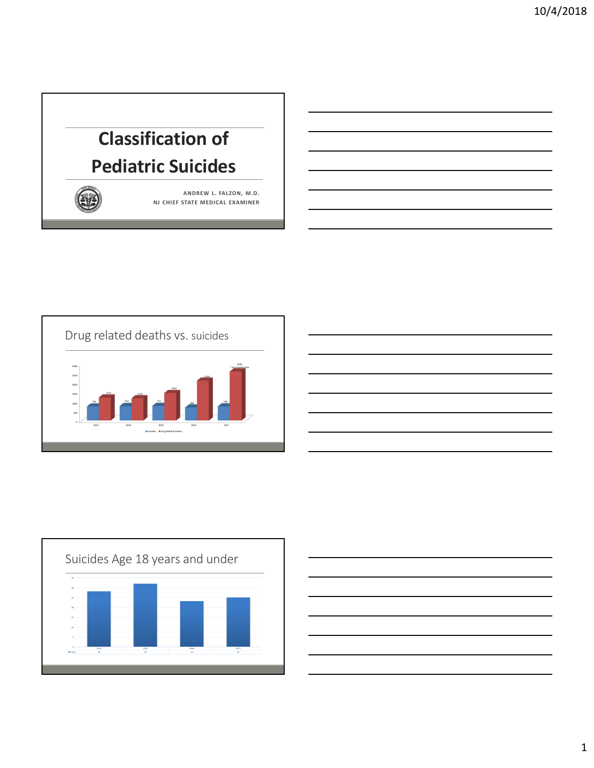# **Classification of Pediatric Suicides**



**ANDREW L. FALZON, M.D. NJ CHIEF STATE MEDICAL EXAMINER**







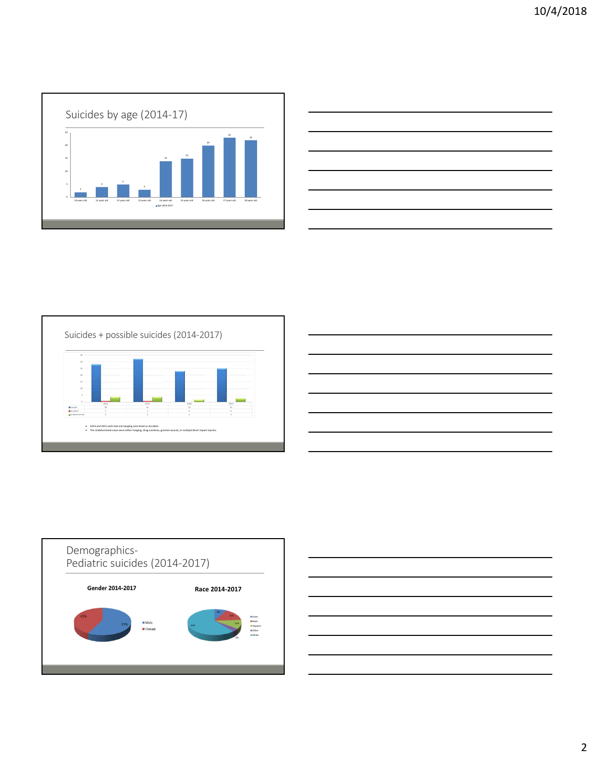

| <u> 1989 - Johann Stoff, amerikansk politiker (d. 1989)</u>                                                                                                                                                                          |  |                          |
|--------------------------------------------------------------------------------------------------------------------------------------------------------------------------------------------------------------------------------------|--|--------------------------|
|                                                                                                                                                                                                                                      |  |                          |
| <u> Alexandro de la contrada de la contrada de la contrada de la contrada de la contrada de la contrada de la con</u>                                                                                                                |  |                          |
| <u> Andreas Andreas Andreas Andreas Andreas Andreas Andreas Andreas Andreas Andreas Andreas Andreas Andreas Andreas Andreas Andreas Andreas Andreas Andreas Andreas Andreas Andreas Andreas Andreas Andreas Andreas Andreas Andr</u> |  | $\overline{\phantom{a}}$ |
|                                                                                                                                                                                                                                      |  |                          |
| <u>. In the contract of the contract of the contract of the contract of the contract of the contract of the contract of the contract of the contract of the contract of the contract of the contract of the contract of the cont</u> |  |                          |
|                                                                                                                                                                                                                                      |  |                          |
|                                                                                                                                                                                                                                      |  |                          |







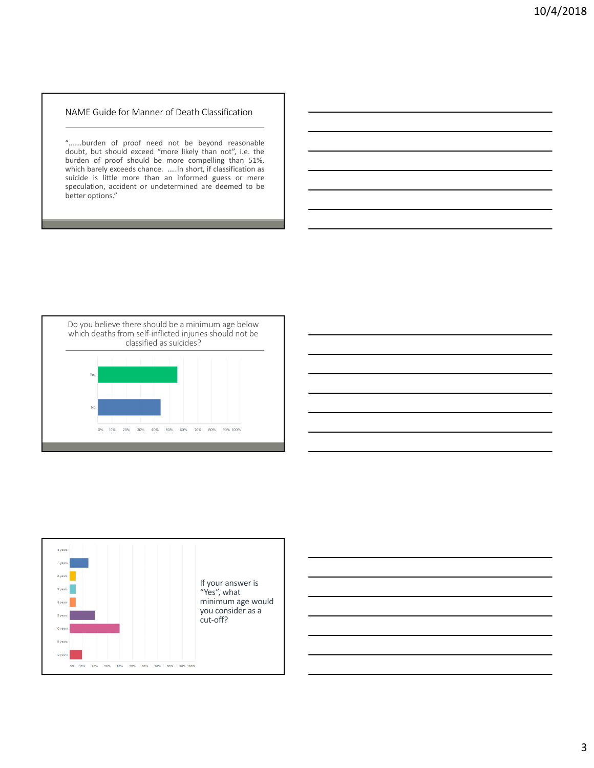#### NAME Guide for Manner of Death Classification

"…….burden of proof need not be beyond reasonable doubt, but should exceed "more likely than not", i.e. the burden of proof should be more compelling than 51%, which barely exceeds chance. …..In short, if classification as suicide is little more than an informed guess or mere speculation, accident or undetermined are deemed to be better options."





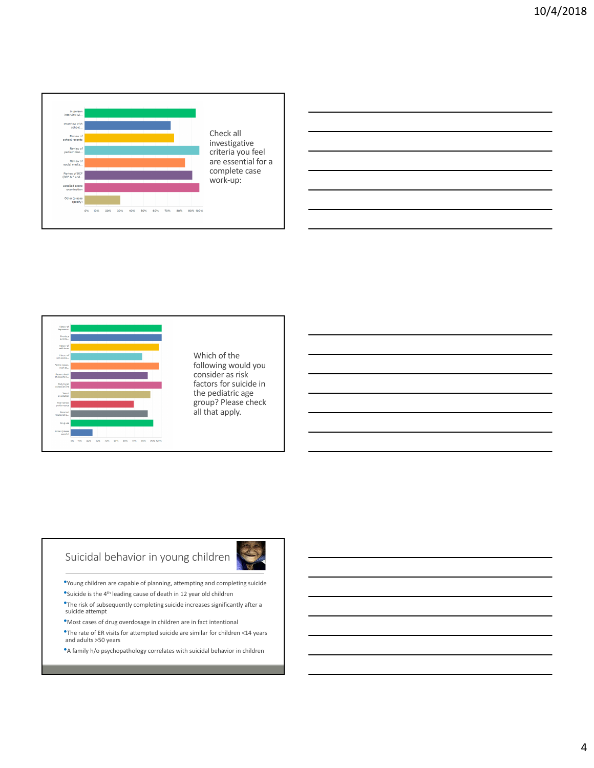



following would you consider as risk factors for suicide in the pediatric age group? Please check all that apply.

# Suicidal behavior in young children

- •Young children are capable of planning, attempting and completing suicide
- •Suicide is the 4th leading cause of death in 12 year old children
- •The risk of subsequently completing suicide increases significantly after a suicide attempt
- •Most cases of drug overdosage in children are in fact intentional
- •The rate of ER visits for attempted suicide are similar for children <14 years and adults >50 years
- •A family h/o psychopathology correlates with suicidal behavior in children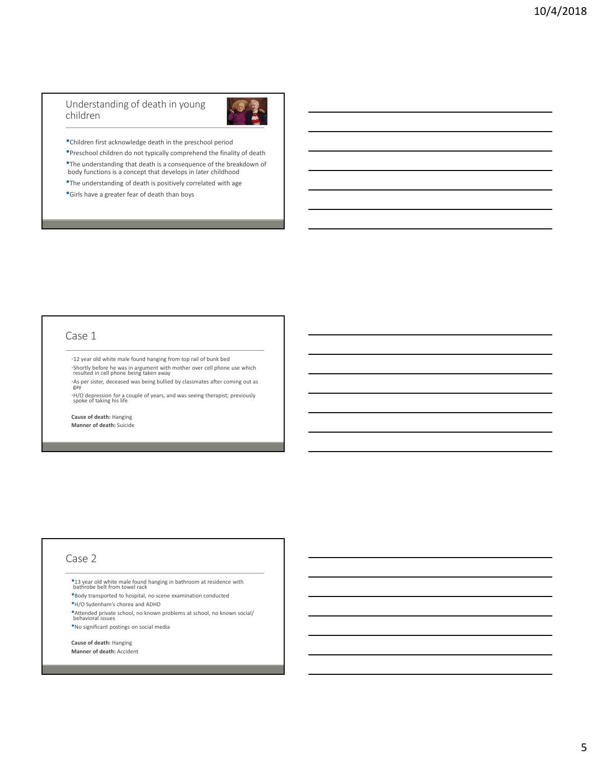#### Understanding of death in young children



•Children first acknowledge death in the preschool period

•Preschool children do not typically comprehend the finality of death •The understanding that death is a consequence of the breakdown of body functions is a concept that develops in later childhood

•The understanding of death is positively correlated with age

•Girls have a greater fear of death than boys

#### Case 1

•12 year old white male found hanging from top rail of bunk bed

•Shortly before he was in argument with mother over cell phone use which resulted in cell phone being taken away •As per sister, deceased was being bullied by classmates after coming out as gay

•H/O depression for a couple of years, and was seeing therapist; previously spoke of taking his life

**Cause of death:** Hanging **Manner of death:** Suicide

#### Case 2

•13 year old white male found hanging in bathroom at residence with bathrobe belt from towel rack

•Body transported to hospital, no scene examination conducted

•H/O Sydenham's chorea and ADHD

•Attended private school, no known problems at school, no known social/ behavioral issues

•No significant postings on social media

**Cause of death:** Hanging **Manner of death:** Accident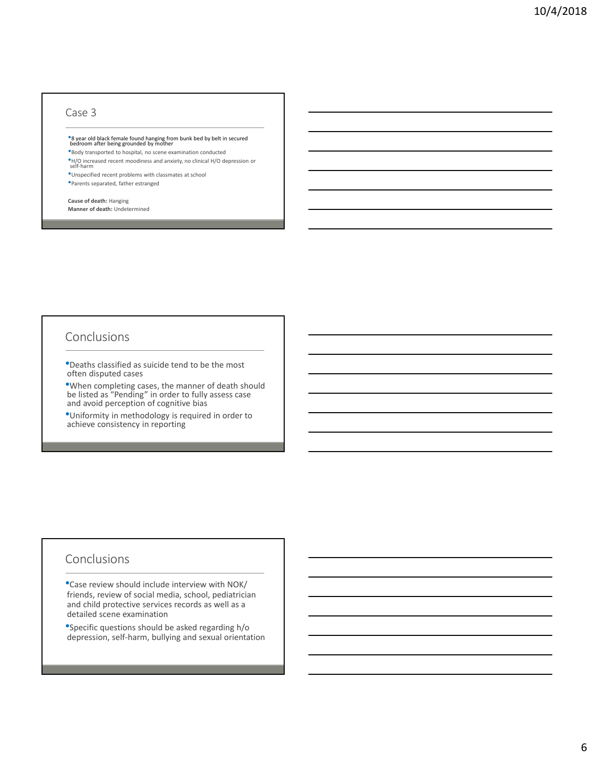#### Case 3

# •8 year old black female found hanging from bunk bed by belt in secured<br>bedroom after being grounded by mother

•Body transported to hospital, no scene examination conducted

•H/O increased recent moodiness and anxiety, no clinical H/O depression or self-harm •Unspecified recent problems with classmates at school

•Parents separated, father estranged

### **Cause of death:** Hanging

**Manner of death:** Undetermined

## Conclusions

•Deaths classified as suicide tend to be the most often disputed cases

•When completing cases, the manner of death should be listed as "Pending" in order to fully assess case and avoid perception of cognitive bias

•Uniformity in methodology is required in order to achieve consistency in reporting

## Conclusions

•Case review should include interview with NOK/ friends, review of social media, school, pediatrician and child protective services records as well as a detailed scene examination

•Specific questions should be asked regarding h/o depression, self-harm, bullying and sexual orientation